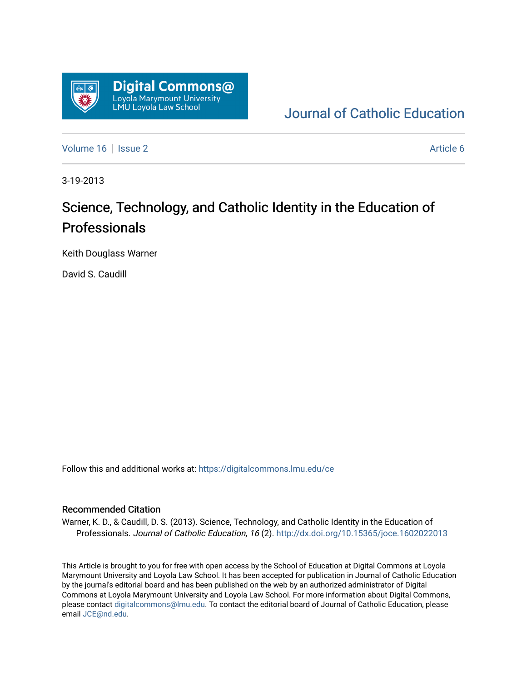

[Journal of Catholic Education](https://digitalcommons.lmu.edu/ce) 

[Volume 16](https://digitalcommons.lmu.edu/ce/vol16) September 2 Article 6

3-19-2013

# Science, Technology, and Catholic Identity in the Education of Professionals

Keith Douglass Warner

David S. Caudill

Follow this and additional works at: [https://digitalcommons.lmu.edu/ce](https://digitalcommons.lmu.edu/ce?utm_source=digitalcommons.lmu.edu%2Fce%2Fvol16%2Fiss2%2F6&utm_medium=PDF&utm_campaign=PDFCoverPages)

#### Recommended Citation

Warner, K. D., & Caudill, D. S. (2013). Science, Technology, and Catholic Identity in the Education of Professionals. Journal of Catholic Education, 16 (2).<http://dx.doi.org/10.15365/joce.1602022013>

This Article is brought to you for free with open access by the School of Education at Digital Commons at Loyola Marymount University and Loyola Law School. It has been accepted for publication in Journal of Catholic Education by the journal's editorial board and has been published on the web by an authorized administrator of Digital Commons at Loyola Marymount University and Loyola Law School. For more information about Digital Commons, please contact [digitalcommons@lmu.edu](mailto:digitalcommons@lmu.edu). To contact the editorial board of Journal of Catholic Education, please email [JCE@nd.edu](mailto:JCE@nd.edu).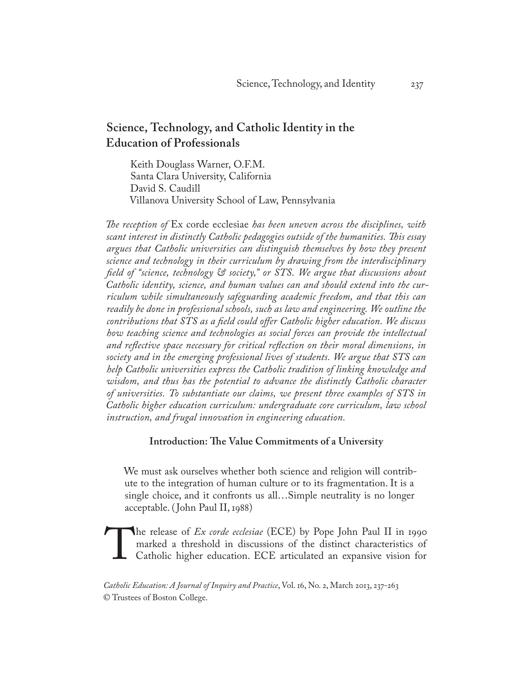## **Science, Technology, and Catholic Identity in the Education of Professionals**

Keith Douglass Warner, O.F.M. Santa Clara University, California David S. Caudill Villanova University School of Law, Pennsylvania

*The reception of* Ex corde ecclesiae *has been uneven across the disciplines, with scant interest in distinctly Catholic pedagogies outside of the humanities. This essay argues that Catholic universities can distinguish themselves by how they present science and technology in their curriculum by drawing from the interdisciplinary field of "science, technology & society," or STS. We argue that discussions about Catholic identity, science, and human values can and should extend into the curriculum while simultaneously safeguarding academic freedom, and that this can readily be done in professional schools, such as law and engineering. We outline the contributions that STS as a field could offer Catholic higher education. We discuss how teaching science and technologies as social forces can provide the intellectual and reflective space necessary for critical reflection on their moral dimensions, in society and in the emerging professional lives of students. We argue that STS can help Catholic universities express the Catholic tradition of linking knowledge and*  wisdom, and thus has the potential to advance the distinctly Catholic character *of universities. To substantiate our claims, we present three examples of STS in Catholic higher education curriculum: undergraduate core curriculum, law school instruction, and frugal innovation in engineering education.* 

## **Introduction: The Value Commitments of a University**

We must ask ourselves whether both science and religion will contribute to the integration of human culture or to its fragmentation. It is a single choice, and it confronts us all…Simple neutrality is no longer acceptable. ( John Paul II, 1988)

The release of *Ex corde ecclesiae* (ECE) by Pope John Paul II in 1990 marked a threshold in discussions of the distinct characteristics of Catholic higher education. ECE articulated an expansive vision for marked a threshold in discussions of the distinct characteristics of Catholic higher education. ECE articulated an expansive vision for

*Catholic Education: A Journal of Inquiry and Practice*, Vol. 16, No. 2, March 2013, 237-263 © Trustees of Boston College.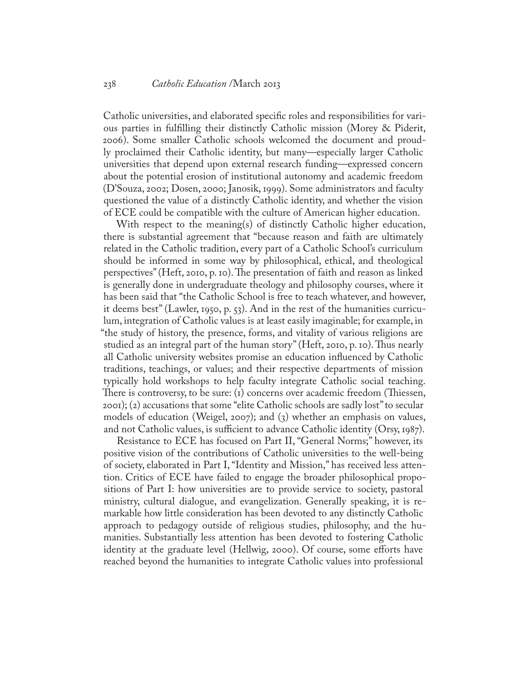Catholic universities, and elaborated specific roles and responsibilities for various parties in fulfilling their distinctly Catholic mission (Morey & Piderit, 2006). Some smaller Catholic schools welcomed the document and proudly proclaimed their Catholic identity, but many—especially larger Catholic universities that depend upon external research funding—expressed concern about the potential erosion of institutional autonomy and academic freedom (D'Souza, 2002; Dosen, 2000; Janosik, 1999). Some administrators and faculty questioned the value of a distinctly Catholic identity, and whether the vision of ECE could be compatible with the culture of American higher education.

With respect to the meaning(s) of distinctly Catholic higher education, there is substantial agreement that "because reason and faith are ultimately related in the Catholic tradition, every part of a Catholic School's curriculum should be informed in some way by philosophical, ethical, and theological perspectives" (Heft, 2010, p. 10). The presentation of faith and reason as linked is generally done in undergraduate theology and philosophy courses, where it has been said that "the Catholic School is free to teach whatever, and however, it deems best" (Lawler, 1950, p. 53). And in the rest of the humanities curriculum, integration of Catholic values is at least easily imaginable; for example, in "the study of history, the presence, forms, and vitality of various religions are studied as an integral part of the human story" (Heft, 2010, p. 10). Thus nearly all Catholic university websites promise an education influenced by Catholic traditions, teachings, or values; and their respective departments of mission typically hold workshops to help faculty integrate Catholic social teaching. There is controversy, to be sure: (1) concerns over academic freedom (Thiessen, 2001); (2) accusations that some "elite Catholic schools are sadly lost" to secular models of education (Weigel, 2007); and (3) whether an emphasis on values, and not Catholic values, is sufficient to advance Catholic identity (Orsy, 1987).

Resistance to ECE has focused on Part II, "General Norms;" however, its positive vision of the contributions of Catholic universities to the well-being of society, elaborated in Part I, "Identity and Mission," has received less attention. Critics of ECE have failed to engage the broader philosophical propositions of Part I: how universities are to provide service to society, pastoral ministry, cultural dialogue, and evangelization. Generally speaking, it is remarkable how little consideration has been devoted to any distinctly Catholic approach to pedagogy outside of religious studies, philosophy, and the humanities. Substantially less attention has been devoted to fostering Catholic identity at the graduate level (Hellwig, 2000). Of course, some efforts have reached beyond the humanities to integrate Catholic values into professional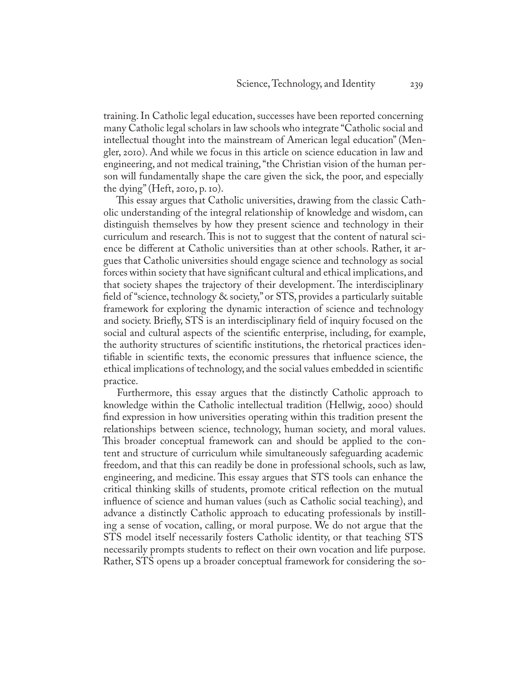training. In Catholic legal education, successes have been reported concerning many Catholic legal scholars in law schools who integrate "Catholic social and intellectual thought into the mainstream of American legal education" (Mengler, 2010). And while we focus in this article on science education in law and engineering, and not medical training, "the Christian vision of the human person will fundamentally shape the care given the sick, the poor, and especially the dying" (Heft, 2010, p. 10).

This essay argues that Catholic universities, drawing from the classic Catholic understanding of the integral relationship of knowledge and wisdom, can distinguish themselves by how they present science and technology in their curriculum and research. This is not to suggest that the content of natural science be different at Catholic universities than at other schools. Rather, it argues that Catholic universities should engage science and technology as social forces within society that have significant cultural and ethical implications, and that society shapes the trajectory of their development. The interdisciplinary field of "science, technology & society," or STS, provides a particularly suitable framework for exploring the dynamic interaction of science and technology and society. Briefly, STS is an interdisciplinary field of inquiry focused on the social and cultural aspects of the scientific enterprise, including, for example, the authority structures of scientific institutions, the rhetorical practices identifiable in scientific texts, the economic pressures that influence science, the ethical implications of technology, and the social values embedded in scientific practice.

Furthermore, this essay argues that the distinctly Catholic approach to knowledge within the Catholic intellectual tradition (Hellwig, 2000) should find expression in how universities operating within this tradition present the relationships between science, technology, human society, and moral values. This broader conceptual framework can and should be applied to the content and structure of curriculum while simultaneously safeguarding academic freedom, and that this can readily be done in professional schools, such as law, engineering, and medicine. This essay argues that STS tools can enhance the critical thinking skills of students, promote critical reflection on the mutual influence of science and human values (such as Catholic social teaching), and advance a distinctly Catholic approach to educating professionals by instilling a sense of vocation, calling, or moral purpose. We do not argue that the STS model itself necessarily fosters Catholic identity, or that teaching STS necessarily prompts students to reflect on their own vocation and life purpose. Rather, STS opens up a broader conceptual framework for considering the so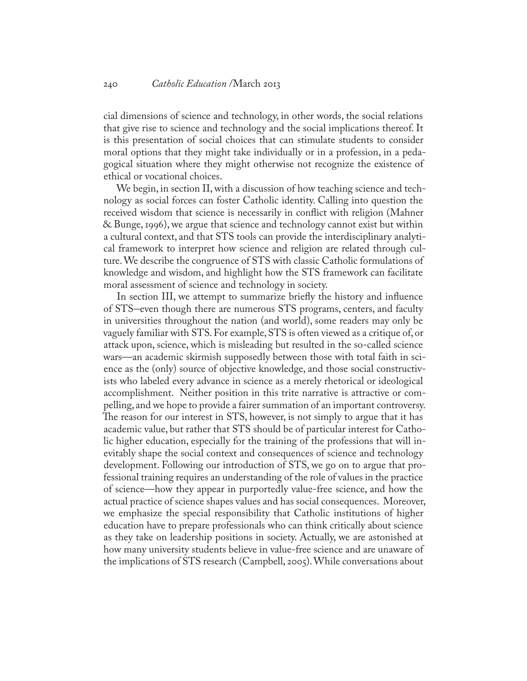cial dimensions of science and technology, in other words, the social relations that give rise to science and technology and the social implications thereof. It is this presentation of social choices that can stimulate students to consider moral options that they might take individually or in a profession, in a pedagogical situation where they might otherwise not recognize the existence of ethical or vocational choices.

We begin, in section II, with a discussion of how teaching science and technology as social forces can foster Catholic identity. Calling into question the received wisdom that science is necessarily in conflict with religion (Mahner & Bunge, 1996), we argue that science and technology cannot exist but within a cultural context, and that STS tools can provide the interdisciplinary analytical framework to interpret how science and religion are related through culture. We describe the congruence of STS with classic Catholic formulations of knowledge and wisdom, and highlight how the STS framework can facilitate moral assessment of science and technology in society.

In section III, we attempt to summarize briefly the history and influence of STS–even though there are numerous STS programs, centers, and faculty in universities throughout the nation (and world), some readers may only be vaguely familiar with STS. For example, STS is often viewed as a critique of, or attack upon, science, which is misleading but resulted in the so-called science wars—an academic skirmish supposedly between those with total faith in science as the (only) source of objective knowledge, and those social constructivists who labeled every advance in science as a merely rhetorical or ideological accomplishment. Neither position in this trite narrative is attractive or compelling, and we hope to provide a fairer summation of an important controversy. The reason for our interest in STS, however, is not simply to argue that it has academic value, but rather that STS should be of particular interest for Catholic higher education, especially for the training of the professions that will inevitably shape the social context and consequences of science and technology development. Following our introduction of STS, we go on to argue that professional training requires an understanding of the role of values in the practice of science—how they appear in purportedly value-free science, and how the actual practice of science shapes values and has social consequences. Moreover, we emphasize the special responsibility that Catholic institutions of higher education have to prepare professionals who can think critically about science as they take on leadership positions in society. Actually, we are astonished at how many university students believe in value-free science and are unaware of the implications of STS research (Campbell, 2005). While conversations about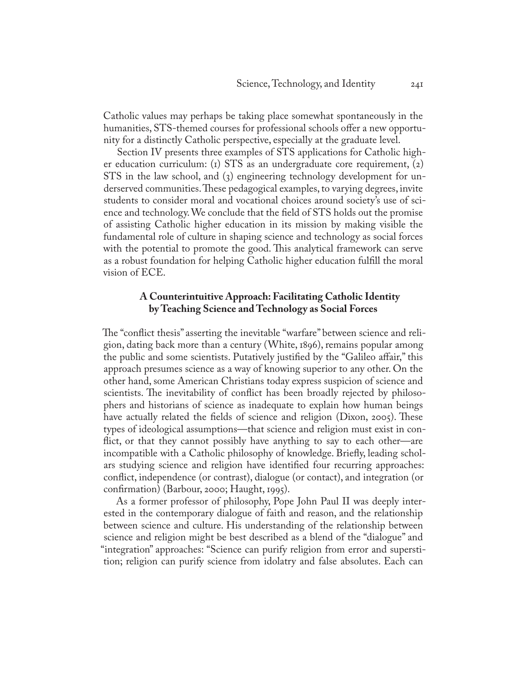Catholic values may perhaps be taking place somewhat spontaneously in the humanities, STS-themed courses for professional schools offer a new opportunity for a distinctly Catholic perspective, especially at the graduate level.

Section IV presents three examples of STS applications for Catholic higher education curriculum: (1) STS as an undergraduate core requirement, (2) STS in the law school, and (3) engineering technology development for underserved communities. These pedagogical examples, to varying degrees, invite students to consider moral and vocational choices around society's use of science and technology. We conclude that the field of STS holds out the promise of assisting Catholic higher education in its mission by making visible the fundamental role of culture in shaping science and technology as social forces with the potential to promote the good. This analytical framework can serve as a robust foundation for helping Catholic higher education fulfill the moral vision of ECE.

## **A Counterintuitive Approach: Facilitating Catholic Identity by Teaching Science and Technology as Social Forces**

The "conflict thesis" asserting the inevitable "warfare" between science and religion, dating back more than a century (White, 1896), remains popular among the public and some scientists. Putatively justified by the "Galileo affair," this approach presumes science as a way of knowing superior to any other. On the other hand, some American Christians today express suspicion of science and scientists. The inevitability of conflict has been broadly rejected by philosophers and historians of science as inadequate to explain how human beings have actually related the fields of science and religion (Dixon, 2005). These types of ideological assumptions—that science and religion must exist in conflict, or that they cannot possibly have anything to say to each other—are incompatible with a Catholic philosophy of knowledge. Briefly, leading scholars studying science and religion have identified four recurring approaches: conflict, independence (or contrast), dialogue (or contact), and integration (or confirmation) (Barbour, 2000; Haught, 1995).

As a former professor of philosophy, Pope John Paul II was deeply interested in the contemporary dialogue of faith and reason, and the relationship between science and culture. His understanding of the relationship between science and religion might be best described as a blend of the "dialogue" and "integration" approaches: "Science can purify religion from error and superstition; religion can purify science from idolatry and false absolutes. Each can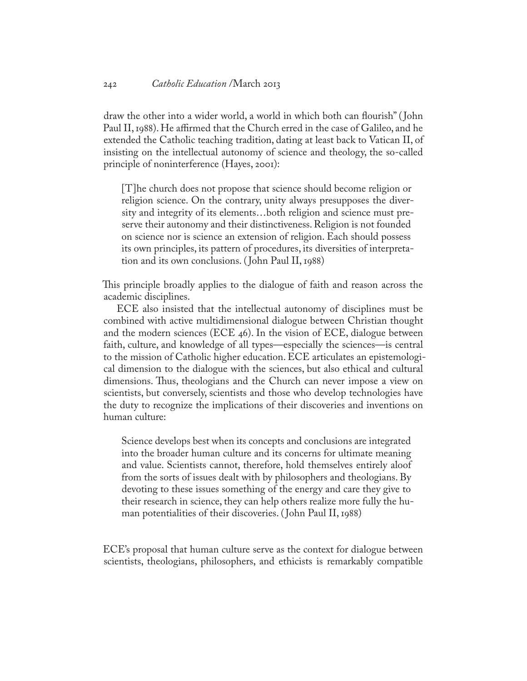draw the other into a wider world, a world in which both can flourish" ( John Paul II, 1988). He affirmed that the Church erred in the case of Galileo, and he extended the Catholic teaching tradition, dating at least back to Vatican II, of insisting on the intellectual autonomy of science and theology, the so-called principle of noninterference (Hayes, 2001):

[T]he church does not propose that science should become religion or religion science. On the contrary, unity always presupposes the diversity and integrity of its elements…both religion and science must preserve their autonomy and their distinctiveness. Religion is not founded on science nor is science an extension of religion. Each should possess its own principles, its pattern of procedures, its diversities of interpretation and its own conclusions. ( John Paul II, 1988)

This principle broadly applies to the dialogue of faith and reason across the academic disciplines.

ECE also insisted that the intellectual autonomy of disciplines must be combined with active multidimensional dialogue between Christian thought and the modern sciences (ECE 46). In the vision of ECE, dialogue between faith, culture, and knowledge of all types—especially the sciences—is central to the mission of Catholic higher education. ECE articulates an epistemological dimension to the dialogue with the sciences, but also ethical and cultural dimensions. Thus, theologians and the Church can never impose a view on scientists, but conversely, scientists and those who develop technologies have the duty to recognize the implications of their discoveries and inventions on human culture:

Science develops best when its concepts and conclusions are integrated into the broader human culture and its concerns for ultimate meaning and value. Scientists cannot, therefore, hold themselves entirely aloof from the sorts of issues dealt with by philosophers and theologians. By devoting to these issues something of the energy and care they give to their research in science, they can help others realize more fully the human potentialities of their discoveries. ( John Paul II, 1988)

ECE's proposal that human culture serve as the context for dialogue between scientists, theologians, philosophers, and ethicists is remarkably compatible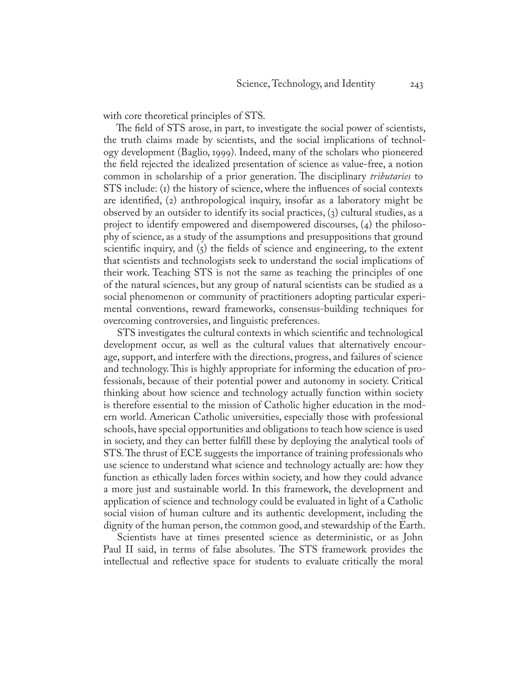with core theoretical principles of STS.

The field of STS arose, in part, to investigate the social power of scientists, the truth claims made by scientists, and the social implications of technology development (Baglio, 1999). Indeed, many of the scholars who pioneered the field rejected the idealized presentation of science as value-free, a notion common in scholarship of a prior generation. The disciplinary *tributaries* to STS include: (1) the history of science, where the influences of social contexts are identified, (2) anthropological inquiry, insofar as a laboratory might be observed by an outsider to identify its social practices, (3) cultural studies, as a project to identify empowered and disempowered discourses, (4) the philosophy of science, as a study of the assumptions and presuppositions that ground scientific inquiry, and  $\zeta$  the fields of science and engineering, to the extent that scientists and technologists seek to understand the social implications of their work. Teaching STS is not the same as teaching the principles of one of the natural sciences, but any group of natural scientists can be studied as a social phenomenon or community of practitioners adopting particular experimental conventions, reward frameworks, consensus-building techniques for overcoming controversies, and linguistic preferences.

STS investigates the cultural contexts in which scientific and technological development occur, as well as the cultural values that alternatively encourage, support, and interfere with the directions, progress, and failures of science and technology. This is highly appropriate for informing the education of professionals, because of their potential power and autonomy in society. Critical thinking about how science and technology actually function within society is therefore essential to the mission of Catholic higher education in the modern world. American Catholic universities, especially those with professional schools, have special opportunities and obligations to teach how science is used in society, and they can better fulfill these by deploying the analytical tools of STS. The thrust of ECE suggests the importance of training professionals who use science to understand what science and technology actually are: how they function as ethically laden forces within society, and how they could advance a more just and sustainable world. In this framework, the development and application of science and technology could be evaluated in light of a Catholic social vision of human culture and its authentic development, including the dignity of the human person, the common good, and stewardship of the Earth.

Scientists have at times presented science as deterministic, or as John Paul II said, in terms of false absolutes. The STS framework provides the intellectual and reflective space for students to evaluate critically the moral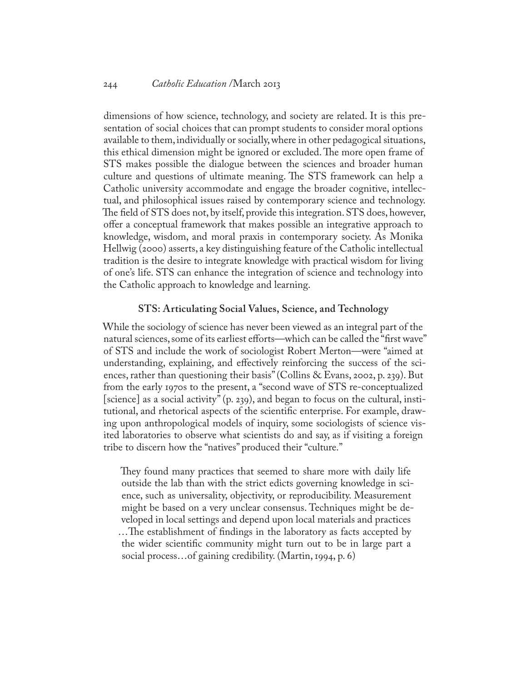dimensions of how science, technology, and society are related. It is this presentation of social choices that can prompt students to consider moral options available to them, individually or socially, where in other pedagogical situations, this ethical dimension might be ignored or excluded. The more open frame of STS makes possible the dialogue between the sciences and broader human culture and questions of ultimate meaning. The STS framework can help a Catholic university accommodate and engage the broader cognitive, intellectual, and philosophical issues raised by contemporary science and technology. The field of STS does not, by itself, provide this integration. STS does, however, offer a conceptual framework that makes possible an integrative approach to knowledge, wisdom, and moral praxis in contemporary society. As Monika Hellwig (2000) asserts, a key distinguishing feature of the Catholic intellectual tradition is the desire to integrate knowledge with practical wisdom for living of one's life. STS can enhance the integration of science and technology into the Catholic approach to knowledge and learning.

#### **STS: Articulating Social Values, Science, and Technology**

While the sociology of science has never been viewed as an integral part of the natural sciences, some of its earliest efforts—which can be called the "first wave" of STS and include the work of sociologist Robert Merton—were "aimed at understanding, explaining, and effectively reinforcing the success of the sciences, rather than questioning their basis" (Collins & Evans, 2002, p. 239). But from the early 1970s to the present, a "second wave of STS re-conceptualized [science] as a social activity" (p. 239), and began to focus on the cultural, institutional, and rhetorical aspects of the scientific enterprise. For example, drawing upon anthropological models of inquiry, some sociologists of science visited laboratories to observe what scientists do and say, as if visiting a foreign tribe to discern how the "natives" produced their "culture."

They found many practices that seemed to share more with daily life outside the lab than with the strict edicts governing knowledge in science, such as universality, objectivity, or reproducibility. Measurement might be based on a very unclear consensus. Techniques might be developed in local settings and depend upon local materials and practices …The establishment of findings in the laboratory as facts accepted by the wider scientific community might turn out to be in large part a social process…of gaining credibility. (Martin, 1994, p. 6)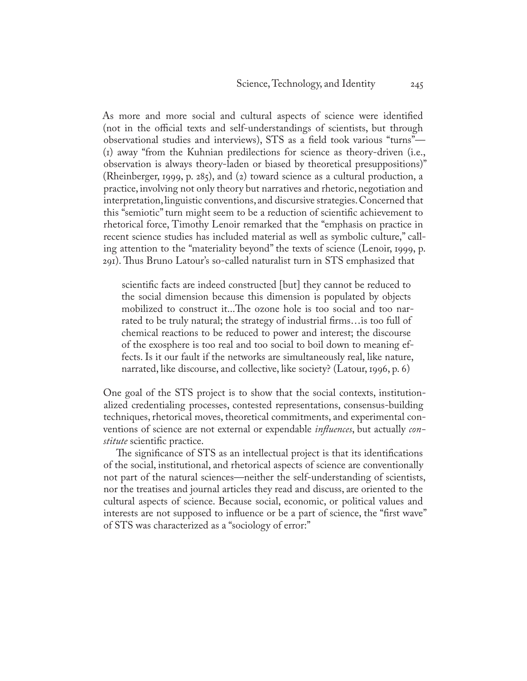As more and more social and cultural aspects of science were identified (not in the official texts and self-understandings of scientists, but through observational studies and interviews), STS as a field took various "turns"— (1) away "from the Kuhnian predilections for science as theory-driven (i.e., observation is always theory-laden or biased by theoretical presuppositions)" (Rheinberger, 1999, p. 285), and (2) toward science as a cultural production, a practice, involving not only theory but narratives and rhetoric, negotiation and interpretation, linguistic conventions, and discursive strategies. Concerned that this "semiotic" turn might seem to be a reduction of scientific achievement to rhetorical force, Timothy Lenoir remarked that the "emphasis on practice in recent science studies has included material as well as symbolic culture," calling attention to the "materiality beyond" the texts of science (Lenoir, 1999, p. 291). Thus Bruno Latour's so-called naturalist turn in STS emphasized that

scientific facts are indeed constructed [but] they cannot be reduced to the social dimension because this dimension is populated by objects mobilized to construct it...The ozone hole is too social and too narrated to be truly natural; the strategy of industrial firms…is too full of chemical reactions to be reduced to power and interest; the discourse of the exosphere is too real and too social to boil down to meaning effects. Is it our fault if the networks are simultaneously real, like nature, narrated, like discourse, and collective, like society? (Latour, 1996, p. 6)

One goal of the STS project is to show that the social contexts, institutionalized credentialing processes, contested representations, consensus-building techniques, rhetorical moves, theoretical commitments, and experimental conventions of science are not external or expendable *influences*, but actually *constitute* scientific practice.

The significance of STS as an intellectual project is that its identifications of the social, institutional, and rhetorical aspects of science are conventionally not part of the natural sciences—neither the self-understanding of scientists, nor the treatises and journal articles they read and discuss, are oriented to the cultural aspects of science. Because social, economic, or political values and interests are not supposed to influence or be a part of science, the "first wave" of STS was characterized as a "sociology of error:"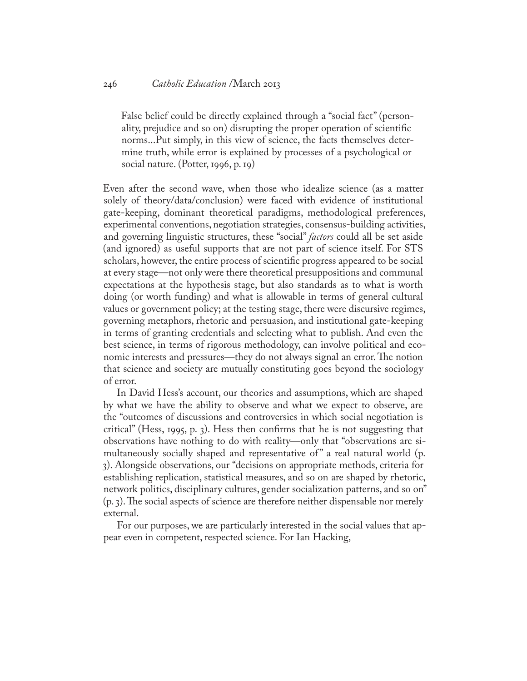#### 246 *Catholic Education* /March 2013

False belief could be directly explained through a "social fact" (personality, prejudice and so on) disrupting the proper operation of scientific norms...Put simply, in this view of science, the facts themselves determine truth, while error is explained by processes of a psychological or social nature. (Potter, 1996, p. 19)

Even after the second wave, when those who idealize science (as a matter solely of theory/data/conclusion) were faced with evidence of institutional gate-keeping, dominant theoretical paradigms, methodological preferences, experimental conventions, negotiation strategies, consensus-building activities, and governing linguistic structures, these "social" *factors* could all be set aside (and ignored) as useful supports that are not part of science itself. For STS scholars, however, the entire process of scientific progress appeared to be social at every stage—not only were there theoretical presuppositions and communal expectations at the hypothesis stage, but also standards as to what is worth doing (or worth funding) and what is allowable in terms of general cultural values or government policy; at the testing stage, there were discursive regimes, governing metaphors, rhetoric and persuasion, and institutional gate-keeping in terms of granting credentials and selecting what to publish. And even the best science, in terms of rigorous methodology, can involve political and economic interests and pressures—they do not always signal an error. The notion that science and society are mutually constituting goes beyond the sociology of error.

In David Hess's account, our theories and assumptions, which are shaped by what we have the ability to observe and what we expect to observe, are the "outcomes of discussions and controversies in which social negotiation is critical" (Hess, 1995, p. 3). Hess then confirms that he is not suggesting that observations have nothing to do with reality—only that "observations are simultaneously socially shaped and representative of" a real natural world (p. 3). Alongside observations, our "decisions on appropriate methods, criteria for establishing replication, statistical measures, and so on are shaped by rhetoric, network politics, disciplinary cultures, gender socialization patterns, and so on" (p. 3). The social aspects of science are therefore neither dispensable nor merely external.

For our purposes, we are particularly interested in the social values that appear even in competent, respected science. For Ian Hacking,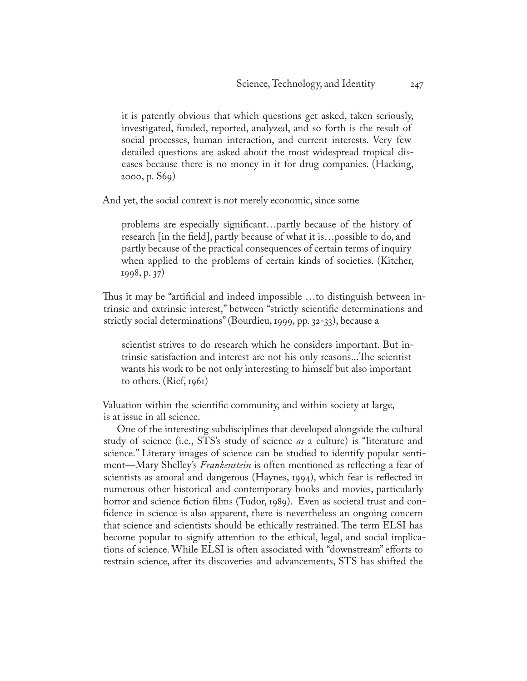it is patently obvious that which questions get asked, taken seriously, investigated, funded, reported, analyzed, and so forth is the result of social processes, human interaction, and current interests. Very few detailed questions are asked about the most widespread tropical diseases because there is no money in it for drug companies. (Hacking, 2000, p. S69)

And yet, the social context is not merely economic, since some

problems are especially significant…partly because of the history of research [in the field], partly because of what it is…possible to do, and partly because of the practical consequences of certain terms of inquiry when applied to the problems of certain kinds of societies. (Kitcher, 1998, p. 37)

Thus it may be "artificial and indeed impossible …to distinguish between intrinsic and extrinsic interest," between "strictly scientific determinations and strictly social determinations" (Bourdieu, 1999, pp. 32-33), because a

scientist strives to do research which he considers important. But intrinsic satisfaction and interest are not his only reasons...The scientist wants his work to be not only interesting to himself but also important to others. (Rief, 1961)

Valuation within the scientific community, and within society at large, is at issue in all science.

One of the interesting subdisciplines that developed alongside the cultural study of science (i.e., STS's study of science *as* a culture) is "literature and science." Literary images of science can be studied to identify popular sentiment—Mary Shelley's *Frankenstein* is often mentioned as reflecting a fear of scientists as amoral and dangerous (Haynes, 1994), which fear is reflected in numerous other historical and contemporary books and movies, particularly horror and science fiction films (Tudor, 1989). Even as societal trust and confidence in science is also apparent, there is nevertheless an ongoing concern that science and scientists should be ethically restrained. The term ELSI has become popular to signify attention to the ethical, legal, and social implications of science. While ELSI is often associated with "downstream" efforts to restrain science, after its discoveries and advancements, STS has shifted the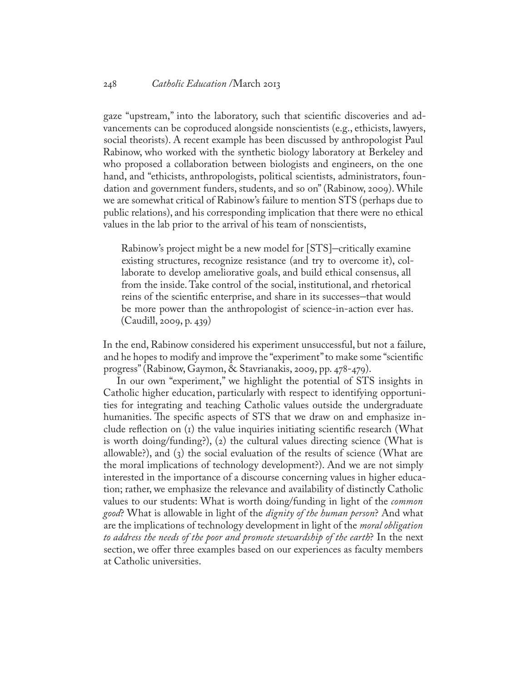gaze "upstream," into the laboratory, such that scientific discoveries and advancements can be coproduced alongside nonscientists (e.g., ethicists, lawyers, social theorists). A recent example has been discussed by anthropologist Paul Rabinow, who worked with the synthetic biology laboratory at Berkeley and who proposed a collaboration between biologists and engineers, on the one hand, and "ethicists, anthropologists, political scientists, administrators, foundation and government funders, students, and so on" (Rabinow, 2009). While we are somewhat critical of Rabinow's failure to mention STS (perhaps due to public relations), and his corresponding implication that there were no ethical values in the lab prior to the arrival of his team of nonscientists,

Rabinow's project might be a new model for [STS]–critically examine existing structures, recognize resistance (and try to overcome it), collaborate to develop ameliorative goals, and build ethical consensus, all from the inside. Take control of the social, institutional, and rhetorical reins of the scientific enterprise, and share in its successes–that would be more power than the anthropologist of science-in-action ever has. (Caudill, 2009, p. 439)

In the end, Rabinow considered his experiment unsuccessful, but not a failure, and he hopes to modify and improve the "experiment" to make some "scientific progress" (Rabinow, Gaymon, & Stavrianakis, 2009, pp. 478-479).

In our own "experiment," we highlight the potential of STS insights in Catholic higher education, particularly with respect to identifying opportunities for integrating and teaching Catholic values outside the undergraduate humanities. The specific aspects of STS that we draw on and emphasize include reflection on (1) the value inquiries initiating scientific research (What is worth doing/funding?), (2) the cultural values directing science (What is allowable?), and (3) the social evaluation of the results of science (What are the moral implications of technology development?). And we are not simply interested in the importance of a discourse concerning values in higher education; rather, we emphasize the relevance and availability of distinctly Catholic values to our students: What is worth doing/funding in light of the *common good*? What is allowable in light of the *dignity of the human person*? And what are the implications of technology development in light of the *moral obligation to address the needs of the poor and promote stewardship of the earth*? In the next section, we offer three examples based on our experiences as faculty members at Catholic universities.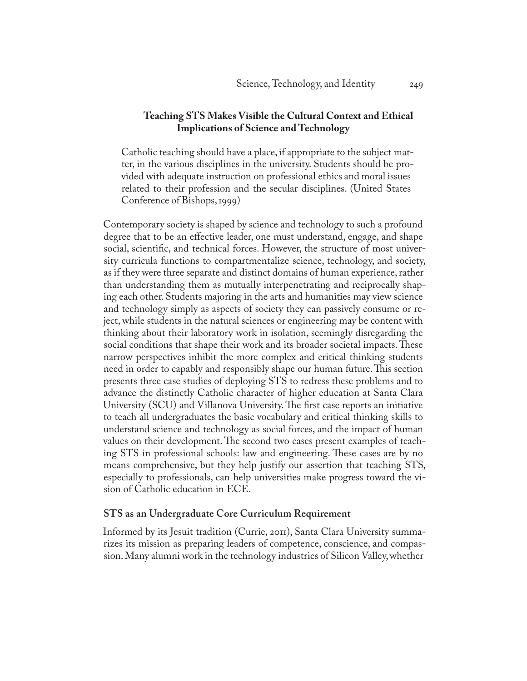## **Teaching STS Makes Visible the Cultural Context and Ethical Implications of Science and Technology**

Catholic teaching should have a place, if appropriate to the subject matter, in the various disciplines in the university. Students should be provided with adequate instruction on professional ethics and moral issues related to their profession and the secular disciplines. (United States Conference of Bishops, 1999)

Contemporary society is shaped by science and technology to such a profound degree that to be an effective leader, one must understand, engage, and shape social, scientific, and technical forces. However, the structure of most university curricula functions to compartmentalize science, technology, and society, as if they were three separate and distinct domains of human experience, rather than understanding them as mutually interpenetrating and reciprocally shaping each other. Students majoring in the arts and humanities may view science and technology simply as aspects of society they can passively consume or reject, while students in the natural sciences or engineering may be content with thinking about their laboratory work in isolation, seemingly disregarding the social conditions that shape their work and its broader societal impacts. These narrow perspectives inhibit the more complex and critical thinking students need in order to capably and responsibly shape our human future. This section presents three case studies of deploying STS to redress these problems and to advance the distinctly Catholic character of higher education at Santa Clara University (SCU) and Villanova University. The first case reports an initiative to teach all undergraduates the basic vocabulary and critical thinking skills to understand science and technology as social forces, and the impact of human values on their development. The second two cases present examples of teaching STS in professional schools: law and engineering. These cases are by no means comprehensive, but they help justify our assertion that teaching STS, especially to professionals, can help universities make progress toward the vision of Catholic education in ECE.

## **STS as an Undergraduate Core Curriculum Requirement**

Informed by its Jesuit tradition (Currie, 2011), Santa Clara University summarizes its mission as preparing leaders of competence, conscience, and compassion. Many alumni work in the technology industries of Silicon Valley, whether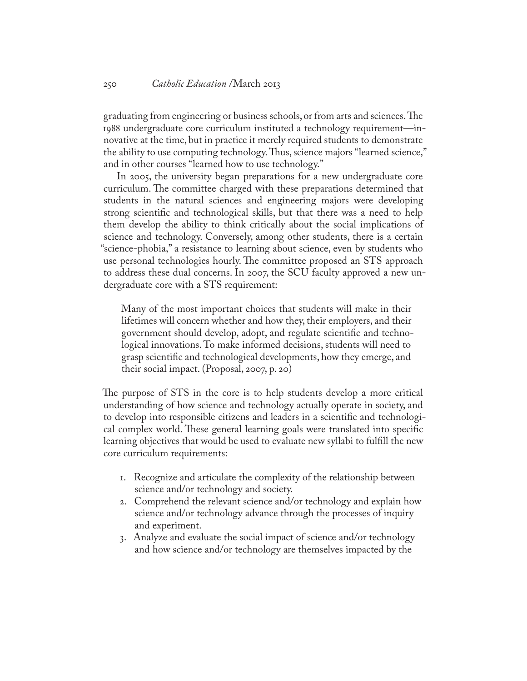graduating from engineering or business schools, or from arts and sciences. The 1988 undergraduate core curriculum instituted a technology requirement—innovative at the time, but in practice it merely required students to demonstrate the ability to use computing technology. Thus, science majors "learned science," and in other courses "learned how to use technology."

In 2005, the university began preparations for a new undergraduate core curriculum. The committee charged with these preparations determined that students in the natural sciences and engineering majors were developing strong scientific and technological skills, but that there was a need to help them develop the ability to think critically about the social implications of science and technology. Conversely, among other students, there is a certain "science-phobia," a resistance to learning about science, even by students who use personal technologies hourly. The committee proposed an STS approach to address these dual concerns. In 2007, the SCU faculty approved a new undergraduate core with a STS requirement:

Many of the most important choices that students will make in their lifetimes will concern whether and how they, their employers, and their government should develop, adopt, and regulate scientific and technological innovations. To make informed decisions, students will need to grasp scientific and technological developments, how they emerge, and their social impact. (Proposal, 2007, p. 20)

The purpose of STS in the core is to help students develop a more critical understanding of how science and technology actually operate in society, and to develop into responsible citizens and leaders in a scientific and technological complex world. These general learning goals were translated into specific learning objectives that would be used to evaluate new syllabi to fulfill the new core curriculum requirements:

- 1. Recognize and articulate the complexity of the relationship between science and/or technology and society.
- 2. Comprehend the relevant science and/or technology and explain how science and/or technology advance through the processes of inquiry and experiment.
- 3. Analyze and evaluate the social impact of science and/or technology and how science and/or technology are themselves impacted by the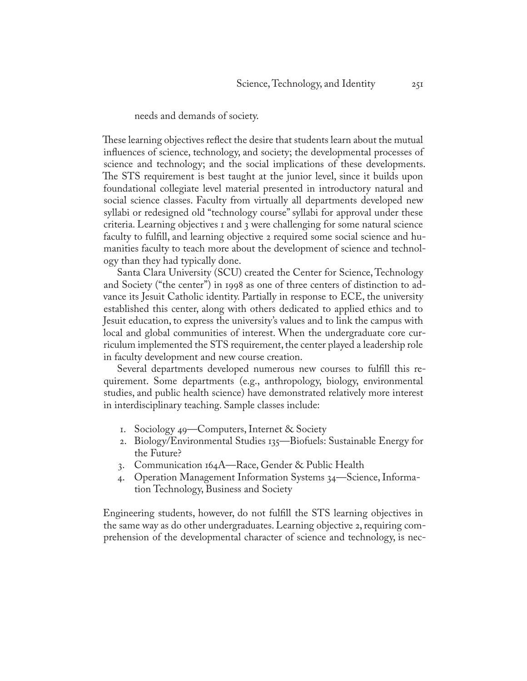## needs and demands of society.

These learning objectives reflect the desire that students learn about the mutual influences of science, technology, and society; the developmental processes of science and technology; and the social implications of these developments. The STS requirement is best taught at the junior level, since it builds upon foundational collegiate level material presented in introductory natural and social science classes. Faculty from virtually all departments developed new syllabi or redesigned old "technology course" syllabi for approval under these criteria. Learning objectives 1 and 3 were challenging for some natural science faculty to fulfill, and learning objective 2 required some social science and humanities faculty to teach more about the development of science and technology than they had typically done.

Santa Clara University (SCU) created the Center for Science, Technology and Society ("the center") in 1998 as one of three centers of distinction to advance its Jesuit Catholic identity. Partially in response to ECE, the university established this center, along with others dedicated to applied ethics and to Jesuit education, to express the university's values and to link the campus with local and global communities of interest. When the undergraduate core curriculum implemented the STS requirement, the center played a leadership role in faculty development and new course creation.

Several departments developed numerous new courses to fulfill this requirement. Some departments (e.g., anthropology, biology, environmental studies, and public health science) have demonstrated relatively more interest in interdisciplinary teaching. Sample classes include:

- 1. Sociology 49—Computers, Internet & Society
- 2. Biology/Environmental Studies 135—Biofuels: Sustainable Energy for the Future?
- 3. Communication 164A—Race, Gender & Public Health
- 4. Operation Management Information Systems 34—Science, Information Technology, Business and Society

Engineering students, however, do not fulfill the STS learning objectives in the same way as do other undergraduates. Learning objective 2, requiring comprehension of the developmental character of science and technology, is nec-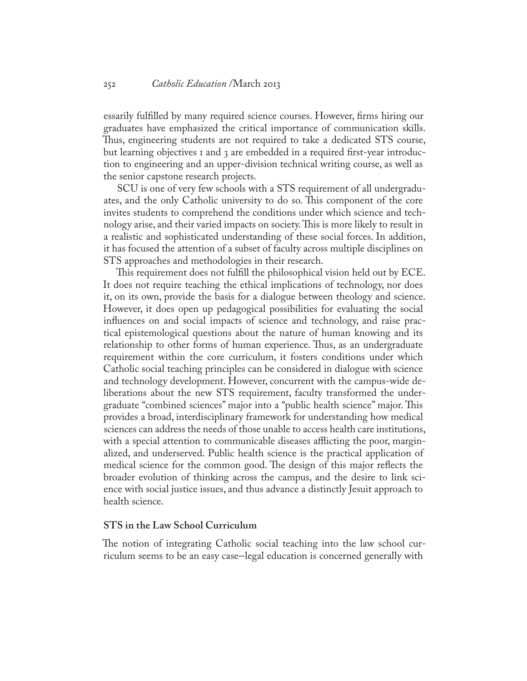essarily fulfilled by many required science courses. However, firms hiring our graduates have emphasized the critical importance of communication skills. Thus, engineering students are not required to take a dedicated STS course, but learning objectives 1 and 3 are embedded in a required first-year introduction to engineering and an upper-division technical writing course, as well as the senior capstone research projects.

SCU is one of very few schools with a STS requirement of all undergraduates, and the only Catholic university to do so. This component of the core invites students to comprehend the conditions under which science and technology arise, and their varied impacts on society. This is more likely to result in a realistic and sophisticated understanding of these social forces. In addition, it has focused the attention of a subset of faculty across multiple disciplines on STS approaches and methodologies in their research.

This requirement does not fulfill the philosophical vision held out by ECE. It does not require teaching the ethical implications of technology, nor does it, on its own, provide the basis for a dialogue between theology and science. However, it does open up pedagogical possibilities for evaluating the social influences on and social impacts of science and technology, and raise practical epistemological questions about the nature of human knowing and its relationship to other forms of human experience. Thus, as an undergraduate requirement within the core curriculum, it fosters conditions under which Catholic social teaching principles can be considered in dialogue with science and technology development. However, concurrent with the campus-wide deliberations about the new STS requirement, faculty transformed the undergraduate "combined sciences" major into a "public health science" major. This provides a broad, interdisciplinary framework for understanding how medical sciences can address the needs of those unable to access health care institutions, with a special attention to communicable diseases afflicting the poor, marginalized, and underserved. Public health science is the practical application of medical science for the common good. The design of this major reflects the broader evolution of thinking across the campus, and the desire to link science with social justice issues, and thus advance a distinctly Jesuit approach to health science.

## **STS in the Law School Curriculum**

The notion of integrating Catholic social teaching into the law school curriculum seems to be an easy case–legal education is concerned generally with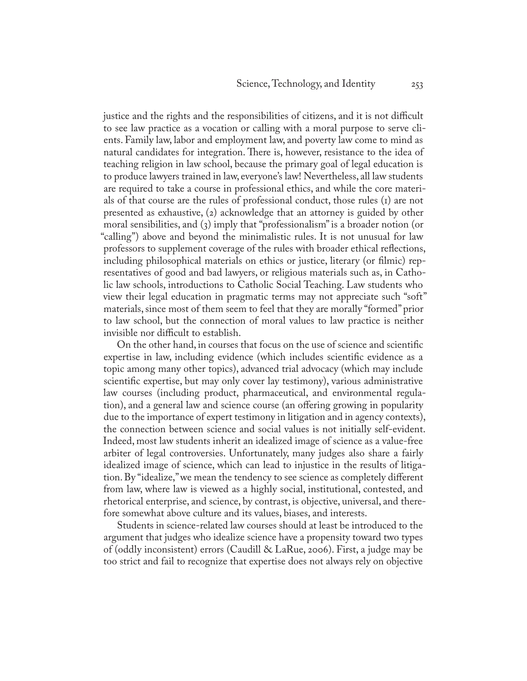justice and the rights and the responsibilities of citizens, and it is not difficult to see law practice as a vocation or calling with a moral purpose to serve clients. Family law, labor and employment law, and poverty law come to mind as natural candidates for integration. There is, however, resistance to the idea of teaching religion in law school, because the primary goal of legal education is to produce lawyers trained in law, everyone's law! Nevertheless, all law students are required to take a course in professional ethics, and while the core materials of that course are the rules of professional conduct, those rules (1) are not presented as exhaustive, (2) acknowledge that an attorney is guided by other moral sensibilities, and (3) imply that "professionalism" is a broader notion (or "calling") above and beyond the minimalistic rules. It is not unusual for law professors to supplement coverage of the rules with broader ethical reflections, including philosophical materials on ethics or justice, literary (or filmic) representatives of good and bad lawyers, or religious materials such as, in Catholic law schools, introductions to Catholic Social Teaching. Law students who view their legal education in pragmatic terms may not appreciate such "soft" materials, since most of them seem to feel that they are morally "formed" prior to law school, but the connection of moral values to law practice is neither invisible nor difficult to establish.

On the other hand, in courses that focus on the use of science and scientific expertise in law, including evidence (which includes scientific evidence as a topic among many other topics), advanced trial advocacy (which may include scientific expertise, but may only cover lay testimony), various administrative law courses (including product, pharmaceutical, and environmental regulation), and a general law and science course (an offering growing in popularity due to the importance of expert testimony in litigation and in agency contexts), the connection between science and social values is not initially self-evident. Indeed, most law students inherit an idealized image of science as a value-free arbiter of legal controversies. Unfortunately, many judges also share a fairly idealized image of science, which can lead to injustice in the results of litigation. By "idealize," we mean the tendency to see science as completely different from law, where law is viewed as a highly social, institutional, contested, and rhetorical enterprise, and science, by contrast, is objective, universal, and therefore somewhat above culture and its values, biases, and interests.

Students in science-related law courses should at least be introduced to the argument that judges who idealize science have a propensity toward two types of (oddly inconsistent) errors (Caudill & LaRue, 2006). First, a judge may be too strict and fail to recognize that expertise does not always rely on objective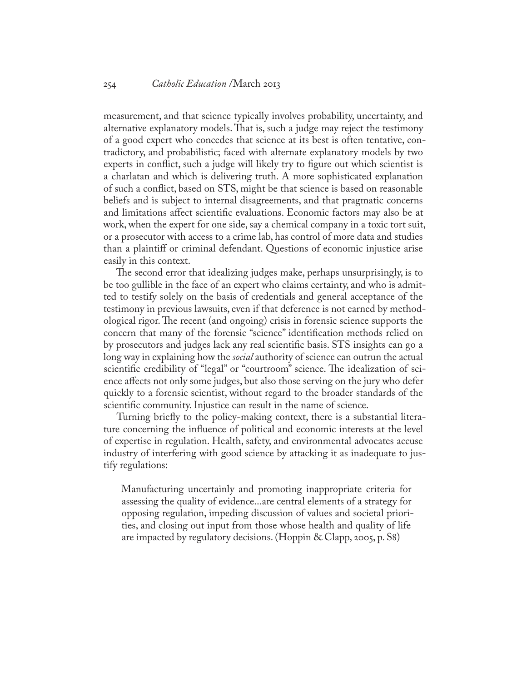measurement, and that science typically involves probability, uncertainty, and alternative explanatory models. That is, such a judge may reject the testimony of a good expert who concedes that science at its best is often tentative, contradictory, and probabilistic; faced with alternate explanatory models by two experts in conflict, such a judge will likely try to figure out which scientist is a charlatan and which is delivering truth. A more sophisticated explanation of such a conflict, based on STS, might be that science is based on reasonable beliefs and is subject to internal disagreements, and that pragmatic concerns and limitations affect scientific evaluations. Economic factors may also be at work, when the expert for one side, say a chemical company in a toxic tort suit, or a prosecutor with access to a crime lab, has control of more data and studies than a plaintiff or criminal defendant. Questions of economic injustice arise easily in this context.

The second error that idealizing judges make, perhaps unsurprisingly, is to be too gullible in the face of an expert who claims certainty, and who is admitted to testify solely on the basis of credentials and general acceptance of the testimony in previous lawsuits, even if that deference is not earned by methodological rigor. The recent (and ongoing) crisis in forensic science supports the concern that many of the forensic "science" identification methods relied on by prosecutors and judges lack any real scientific basis. STS insights can go a long way in explaining how the *social* authority of science can outrun the actual scientific credibility of "legal" or "courtroom" science. The idealization of science affects not only some judges, but also those serving on the jury who defer quickly to a forensic scientist, without regard to the broader standards of the scientific community. Injustice can result in the name of science.

Turning briefly to the policy-making context, there is a substantial literature concerning the influence of political and economic interests at the level of expertise in regulation. Health, safety, and environmental advocates accuse industry of interfering with good science by attacking it as inadequate to justify regulations:

Manufacturing uncertainly and promoting inappropriate criteria for assessing the quality of evidence...are central elements of a strategy for opposing regulation, impeding discussion of values and societal priorities, and closing out input from those whose health and quality of life are impacted by regulatory decisions. (Hoppin & Clapp, 2005, p. S8)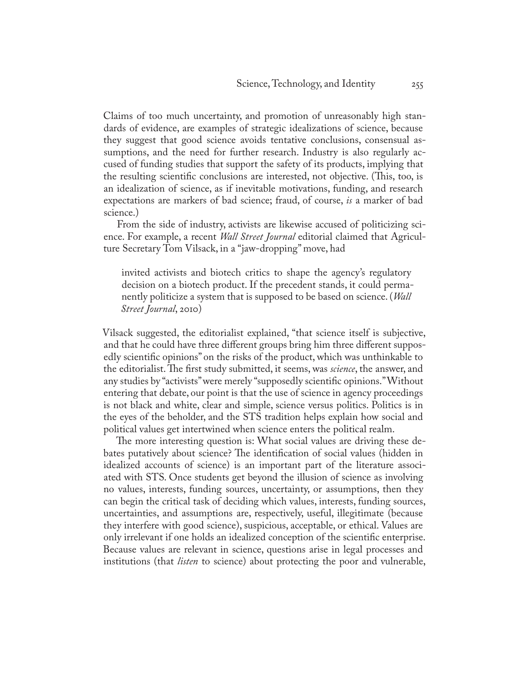Claims of too much uncertainty, and promotion of unreasonably high standards of evidence, are examples of strategic idealizations of science, because they suggest that good science avoids tentative conclusions, consensual assumptions, and the need for further research. Industry is also regularly accused of funding studies that support the safety of its products, implying that the resulting scientific conclusions are interested, not objective. (This, too, is an idealization of science, as if inevitable motivations, funding, and research expectations are markers of bad science; fraud, of course, *is* a marker of bad science.)

From the side of industry, activists are likewise accused of politicizing science. For example, a recent *Wall Street Journal* editorial claimed that Agriculture Secretary Tom Vilsack, in a "jaw-dropping" move, had

invited activists and biotech critics to shape the agency's regulatory decision on a biotech product. If the precedent stands, it could permanently politicize a system that is supposed to be based on science. (*Wall Street Journal*, 2010)

Vilsack suggested, the editorialist explained, "that science itself is subjective, and that he could have three different groups bring him three different supposedly scientific opinions" on the risks of the product, which was unthinkable to the editorialist. The first study submitted, it seems, was *science*, the answer, and any studies by "activists" were merely "supposedly scientific opinions." Without entering that debate, our point is that the use of science in agency proceedings is not black and white, clear and simple, science versus politics. Politics is in the eyes of the beholder, and the STS tradition helps explain how social and political values get intertwined when science enters the political realm.

The more interesting question is: What social values are driving these debates putatively about science? The identification of social values (hidden in idealized accounts of science) is an important part of the literature associated with STS. Once students get beyond the illusion of science as involving no values, interests, funding sources, uncertainty, or assumptions, then they can begin the critical task of deciding which values, interests, funding sources, uncertainties, and assumptions are, respectively, useful, illegitimate (because they interfere with good science), suspicious, acceptable, or ethical. Values are only irrelevant if one holds an idealized conception of the scientific enterprise. Because values are relevant in science, questions arise in legal processes and institutions (that *listen* to science) about protecting the poor and vulnerable,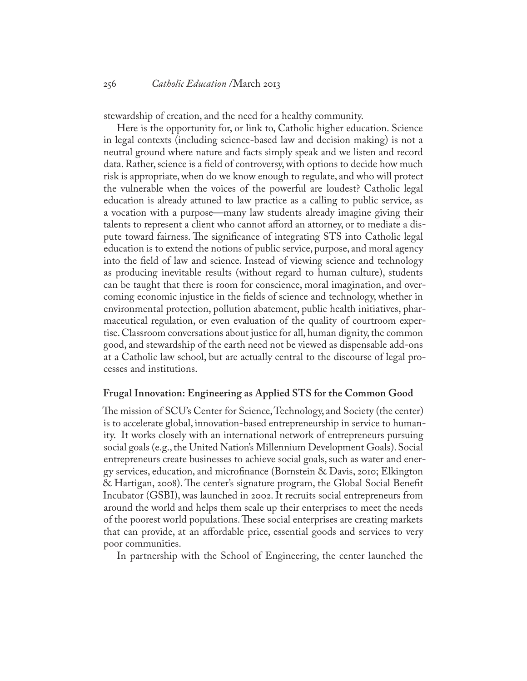stewardship of creation, and the need for a healthy community.

Here is the opportunity for, or link to, Catholic higher education. Science in legal contexts (including science-based law and decision making) is not a neutral ground where nature and facts simply speak and we listen and record data. Rather, science is a field of controversy, with options to decide how much risk is appropriate, when do we know enough to regulate, and who will protect the vulnerable when the voices of the powerful are loudest? Catholic legal education is already attuned to law practice as a calling to public service, as a vocation with a purpose—many law students already imagine giving their talents to represent a client who cannot afford an attorney, or to mediate a dispute toward fairness. The significance of integrating STS into Catholic legal education is to extend the notions of public service, purpose, and moral agency into the field of law and science. Instead of viewing science and technology as producing inevitable results (without regard to human culture), students can be taught that there is room for conscience, moral imagination, and overcoming economic injustice in the fields of science and technology, whether in environmental protection, pollution abatement, public health initiatives, pharmaceutical regulation, or even evaluation of the quality of courtroom expertise. Classroom conversations about justice for all, human dignity, the common good, and stewardship of the earth need not be viewed as dispensable add-ons at a Catholic law school, but are actually central to the discourse of legal processes and institutions.

#### **Frugal Innovation: Engineering as Applied STS for the Common Good**

The mission of SCU's Center for Science, Technology, and Society (the center) is to accelerate global, innovation-based entrepreneurship in service to humanity. It works closely with an international network of entrepreneurs pursuing social goals (e.g., the United Nation's Millennium Development Goals). Social entrepreneurs create businesses to achieve social goals, such as water and energy services, education, and microfinance (Bornstein & Davis, 2010; Elkington & Hartigan, 2008). The center's signature program, the Global Social Benefit Incubator (GSBI), was launched in 2002. It recruits social entrepreneurs from around the world and helps them scale up their enterprises to meet the needs of the poorest world populations. These social enterprises are creating markets that can provide, at an affordable price, essential goods and services to very poor communities.

In partnership with the School of Engineering, the center launched the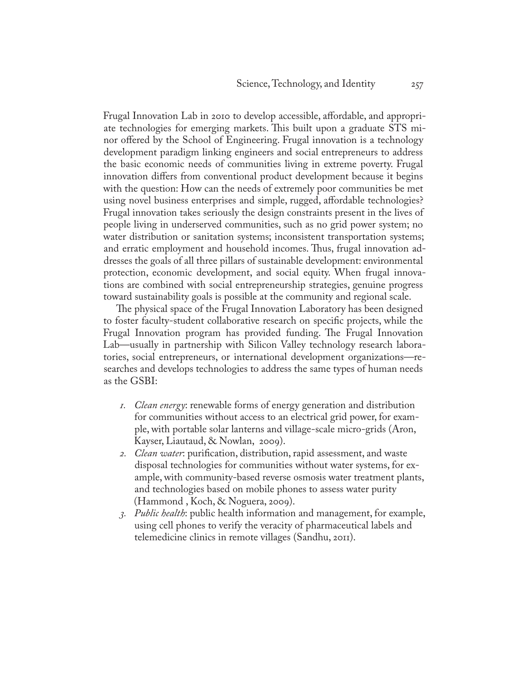Frugal Innovation Lab in 2010 to develop accessible, affordable, and appropriate technologies for emerging markets. This built upon a graduate STS minor offered by the School of Engineering. Frugal innovation is a technology development paradigm linking engineers and social entrepreneurs to address the basic economic needs of communities living in extreme poverty. Frugal innovation differs from conventional product development because it begins with the question: How can the needs of extremely poor communities be met using novel business enterprises and simple, rugged, affordable technologies? Frugal innovation takes seriously the design constraints present in the lives of people living in underserved communities, such as no grid power system; no water distribution or sanitation systems; inconsistent transportation systems; and erratic employment and household incomes. Thus, frugal innovation addresses the goals of all three pillars of sustainable development: environmental protection, economic development, and social equity. When frugal innovations are combined with social entrepreneurship strategies, genuine progress toward sustainability goals is possible at the community and regional scale.

The physical space of the Frugal Innovation Laboratory has been designed to foster faculty-student collaborative research on specific projects, while the Frugal Innovation program has provided funding. The Frugal Innovation Lab—usually in partnership with Silicon Valley technology research laboratories, social entrepreneurs, or international development organizations—researches and develops technologies to address the same types of human needs as the GSBI:

- *1. Clean energy*: renewable forms of energy generation and distribution for communities without access to an electrical grid power, for example, with portable solar lanterns and village-scale micro-grids (Aron, Kayser, Liautaud, & Nowlan, 2009).
- *2. Clean water*: purification, distribution, rapid assessment, and waste disposal technologies for communities without water systems, for example, with community-based reverse osmosis water treatment plants, and technologies based on mobile phones to assess water purity (Hammond , Koch, & Noguera, 2009).
- *3. Public health*: public health information and management, for example, using cell phones to verify the veracity of pharmaceutical labels and telemedicine clinics in remote villages (Sandhu, 2011).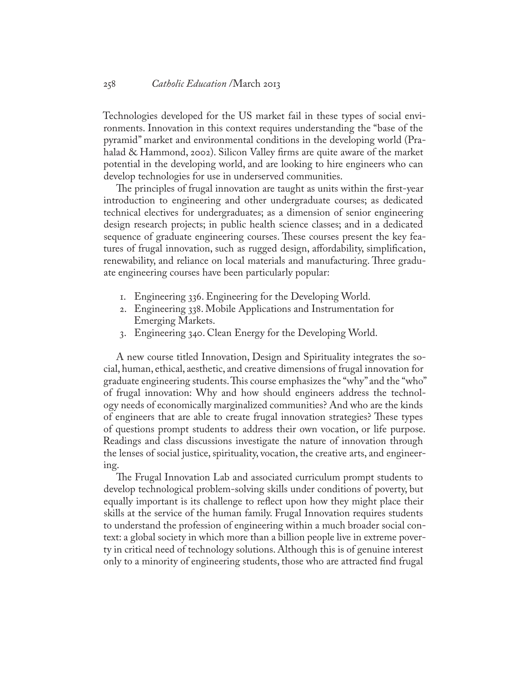Technologies developed for the US market fail in these types of social environments. Innovation in this context requires understanding the "base of the pyramid" market and environmental conditions in the developing world (Prahalad & Hammond, 2002). Silicon Valley firms are quite aware of the market potential in the developing world, and are looking to hire engineers who can develop technologies for use in underserved communities.

The principles of frugal innovation are taught as units within the first-year introduction to engineering and other undergraduate courses; as dedicated technical electives for undergraduates; as a dimension of senior engineering design research projects; in public health science classes; and in a dedicated sequence of graduate engineering courses. These courses present the key features of frugal innovation, such as rugged design, affordability, simplification, renewability, and reliance on local materials and manufacturing. Three graduate engineering courses have been particularly popular:

- 1. Engineering 336. Engineering for the Developing World.
- 2. Engineering 338. Mobile Applications and Instrumentation for Emerging Markets.
- 3. Engineering 340. Clean Energy for the Developing World.

A new course titled Innovation, Design and Spirituality integrates the social, human, ethical, aesthetic, and creative dimensions of frugal innovation for graduate engineering students. This course emphasizes the "why" and the "who" of frugal innovation: Why and how should engineers address the technology needs of economically marginalized communities? And who are the kinds of engineers that are able to create frugal innovation strategies? These types of questions prompt students to address their own vocation, or life purpose. Readings and class discussions investigate the nature of innovation through the lenses of social justice, spirituality, vocation, the creative arts, and engineering.

The Frugal Innovation Lab and associated curriculum prompt students to develop technological problem-solving skills under conditions of poverty, but equally important is its challenge to reflect upon how they might place their skills at the service of the human family. Frugal Innovation requires students to understand the profession of engineering within a much broader social context: a global society in which more than a billion people live in extreme poverty in critical need of technology solutions. Although this is of genuine interest only to a minority of engineering students, those who are attracted find frugal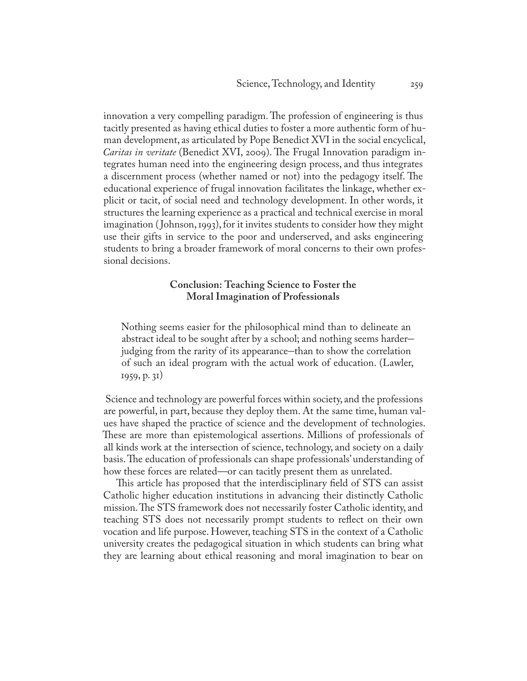innovation a very compelling paradigm. The profession of engineering is thus tacitly presented as having ethical duties to foster a more authentic form of human development, as articulated by Pope Benedict XVI in the social encyclical, *Caritas in veritate* (Benedict XVI, 2009). The Frugal Innovation paradigm integrates human need into the engineering design process, and thus integrates a discernment process (whether named or not) into the pedagogy itself. The educational experience of frugal innovation facilitates the linkage, whether explicit or tacit, of social need and technology development. In other words, it structures the learning experience as a practical and technical exercise in moral imagination ( Johnson, 1993), for it invites students to consider how they might use their gifts in service to the poor and underserved, and asks engineering students to bring a broader framework of moral concerns to their own professional decisions.

## **Conclusion: Teaching Science to Foster the Moral Imagination of Professionals**

Nothing seems easier for the philosophical mind than to delineate an abstract ideal to be sought after by a school; and nothing seems harder– judging from the rarity of its appearance–than to show the correlation of such an ideal program with the actual work of education. (Lawler, 1959, p. 31)

 Science and technology are powerful forces within society, and the professions are powerful, in part, because they deploy them. At the same time, human values have shaped the practice of science and the development of technologies. These are more than epistemological assertions. Millions of professionals of all kinds work at the intersection of science, technology, and society on a daily basis. The education of professionals can shape professionals' understanding of how these forces are related—or can tacitly present them as unrelated.

This article has proposed that the interdisciplinary field of STS can assist Catholic higher education institutions in advancing their distinctly Catholic mission. The STS framework does not necessarily foster Catholic identity, and teaching STS does not necessarily prompt students to reflect on their own vocation and life purpose. However, teaching STS in the context of a Catholic university creates the pedagogical situation in which students can bring what they are learning about ethical reasoning and moral imagination to bear on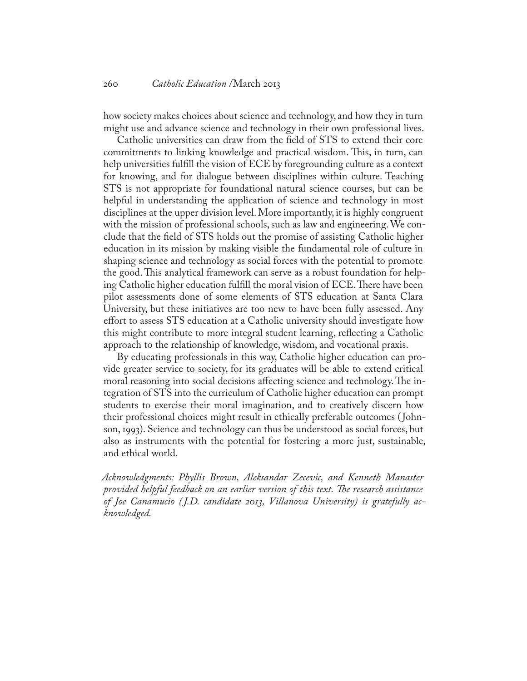how society makes choices about science and technology, and how they in turn might use and advance science and technology in their own professional lives.

Catholic universities can draw from the field of STS to extend their core commitments to linking knowledge and practical wisdom. This, in turn, can help universities fulfill the vision of ECE by foregrounding culture as a context for knowing, and for dialogue between disciplines within culture. Teaching STS is not appropriate for foundational natural science courses, but can be helpful in understanding the application of science and technology in most disciplines at the upper division level. More importantly, it is highly congruent with the mission of professional schools, such as law and engineering. We conclude that the field of STS holds out the promise of assisting Catholic higher education in its mission by making visible the fundamental role of culture in shaping science and technology as social forces with the potential to promote the good. This analytical framework can serve as a robust foundation for helping Catholic higher education fulfill the moral vision of ECE. There have been pilot assessments done of some elements of STS education at Santa Clara University, but these initiatives are too new to have been fully assessed. Any effort to assess STS education at a Catholic university should investigate how this might contribute to more integral student learning, reflecting a Catholic approach to the relationship of knowledge, wisdom, and vocational praxis.

By educating professionals in this way, Catholic higher education can provide greater service to society, for its graduates will be able to extend critical moral reasoning into social decisions affecting science and technology. The integration of STS into the curriculum of Catholic higher education can prompt students to exercise their moral imagination, and to creatively discern how their professional choices might result in ethically preferable outcomes ( Johnson, 1993). Science and technology can thus be understood as social forces, but also as instruments with the potential for fostering a more just, sustainable, and ethical world.

*Acknowledgments: Phyllis Brown, Aleksandar Zecevic, and Kenneth Manaster provided helpful feedback on an earlier version of this text. The research assistance of Joe Canamucio ( J.D. candidate 2013, Villanova University) is gratefully acknowledged.*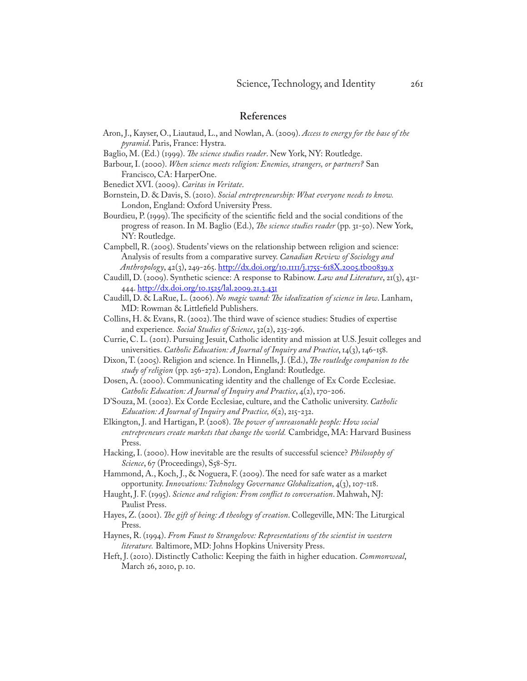#### **References**

- Aron, J., Kayser, O., Liautaud, L., and Nowlan, A. (2009). *Access to energy for the base of the pyramid*. Paris, France: Hystra.
- Baglio, M. (Ed.) (1999). *The science studies reader*. New York, NY: Routledge.
- Barbour, I. (2000). *When science meets religion: Enemies, strangers, or partners?* San Francisco, CA: HarperOne.
- Benedict XVI. (2009). *Caritas in Veritate*.
- Bornstein, D. & Davis, S. (2010). *Social entrepreneurship: What everyone needs to know.* London, England: Oxford University Press.
- Bourdieu, P. (1999). The specificity of the scientific field and the social conditions of the progress of reason. In M. Baglio (Ed.), *The science studies reader* (pp. 31-50). New York, NY: Routledge.

Campbell, R. (2005). Students' views on the relationship between religion and science: Analysis of results from a comparative survey. *Canadian Review of Sociology and Anthropology*, 42(3), 249-265.<http://dx.doi.org/10.1111/j.1755-618X.2005.tb00839.x>

- Caudill, D. (2009). Synthetic science: A response to Rabinow. *Law and Literature*, 21(3), 431- 444. <http://dx.doi.org/10.1525/lal.2009.21.3.431>
- Caudill, D. & LaRue, L. (2006). *No magic wand: The idealization of science in law*. Lanham, MD: Rowman & Littlefield Publishers.
- Collins, H. & Evans, R. (2002). The third wave of science studies: Studies of expertise and experience*. Social Studies of Science*, 32(2), 235-296.
- Currie, C. L. (2011). Pursuing Jesuit, Catholic identity and mission at U.S. Jesuit colleges and universities. *Catholic Education: A Journal of Inquiry and Practice*, 14(3), 146-158.
- Dixon, T. (2005). Religion and science. In Hinnells, J. (Ed.), *The routledge companion to the study of religion* (pp. 256-272). London, England: Routledge.
- Dosen, A. (2000). Communicating identity and the challenge of Ex Corde Ecclesiae. *Catholic Education: A Journal of Inquiry and Practice*, 4(2), 170-206.
- D'Souza, M. (2002). Ex Corde Ecclesiae, culture, and the Catholic university. *Catholic Education: A Journal of Inquiry and Practice, 6*(2), 215-232.
- Elkington, J. and Hartigan, P. (2008). *The power of unreasonable people: How social entrepreneurs create markets that change the world.* Cambridge, MA: Harvard Business Press.
- Hacking, I. (2000). How inevitable are the results of successful science? *Philosophy of Science*, 67 (Proceedings), S58-S71.
- Hammond, A., Koch, J., & Noguera, F. (2009). The need for safe water as a market opportunity. *Innovations: Technology Governance Globalization*, 4(3), 107-118.
- Haught, J. F. (1995). *Science and religion: From conflict to conversation*. Mahwah, NJ: Paulist Press.
- Hayes, Z. (2001). *The gift of being: A theology of creation*. Collegeville, MN: The Liturgical Press.
- Haynes, R. (1994). *From Faust to Strangelove: Representations of the scientist in western literature.* Baltimore, MD: Johns Hopkins University Press.
- Heft, J. (2010). Distinctly Catholic: Keeping the faith in higher education. *Commonweal*, March 26, 2010, p. 10.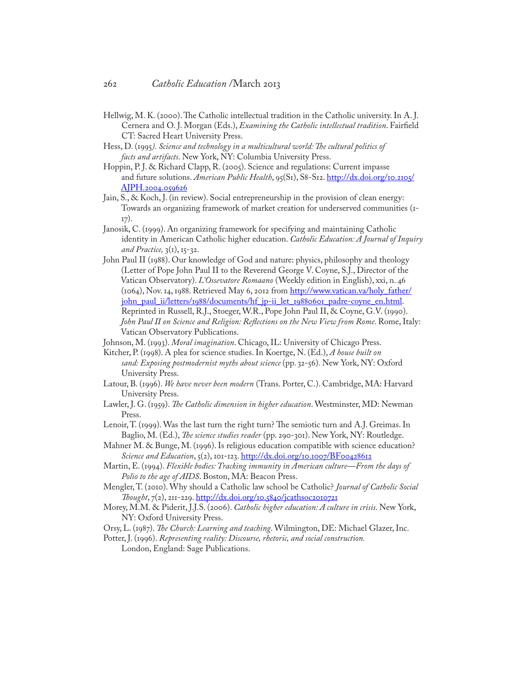- Hellwig, M. K. (2000). The Catholic intellectual tradition in the Catholic university. In A. J. Cernera and O. J. Morgan (Eds.), *Examining the Catholic intellectual tradition*. Fairfield CT: Sacred Heart University Press.
- Hess, D. (1995*). Science and technology in a multicultural world: The cultural politics of facts and artifacts*. New York, NY: Columbia University Press.
- Hoppin, P. J. & Richard Clapp, R. (2005). Science and regulations: Current impasse and future solutions. *American Public Health*, 95(S1), S8-S12. [http://dx.doi.org/10.2105/](http://dx.doi.org/10.2105/AJPH.2004.059626) [AJPH.2004.059626](http://dx.doi.org/10.2105/AJPH.2004.059626)
- Jain, S., & Koch, J. (in review). Social entrepreneurship in the provision of clean energy: Towards an organizing framework of market creation for underserved communities (1- 17).
- Janosik, C. (1999). An organizing framework for specifying and maintaining Catholic identity in American Catholic higher education. *Catholic Education: A Journal of Inquiry and Practice,* 3(1), 15-32.
- John Paul II (1988). Our knowledge of God and nature: physics, philosophy and theology (Letter of Pope John Paul II to the Reverend George V. Coyne, S.J., Director of the Vatican Observatory). *L'Ossevatore Romaano* (Weekly edition in English), xxi, n. 46 (1064), Nov. 14, 1988. Retrieved May 6, 2012 from [http://www.vatican.va/holy\\_father/](http://www.vatican.va/holy_father/john_paul_ii/letters/1988/documents/hf_jp-ii_let_19880601_padre-coyne_en.html) [john\\_paul\\_ii/letters/1988/documents/hf\\_jp-ii\\_let\\_19880601\\_padre-coyne\\_en.html](http://www.vatican.va/holy_father/john_paul_ii/letters/1988/documents/hf_jp-ii_let_19880601_padre-coyne_en.html). Reprinted in Russell, R.J., Stoeger, W.R., Pope John Paul II, & Coyne, G.V. (1990). *John Paul II on Science and Religion: Reflections on the New View from Rome*. Rome, Italy: Vatican Observatory Publications.
- Johnson, M. (1993). *Moral imagination*. Chicago, IL: University of Chicago Press.
- Kitcher, P. (1998). A plea for science studies. In Koertge, N. (Ed.), *A house built on sand: Exposing postmodernist myths about science* (pp. 32-56)*.* New York, NY: Oxford University Press.
- Latour, B. (1996). *We have never been modern* (Trans. Porter, C.). Cambridge, MA: Harvard University Press.
- Lawler, J. G. (1959). *The Catholic dimension in higher education*. Westminster, MD: Newman Press.
- Lenoir, T. (1999). Was the last turn the right turn? The semiotic turn and A.J. Greimas. In Baglio, M. (Ed.), *The science studies reader* (pp. 290-301). New York, NY: Routledge.
- Mahner M. & Bunge, M. (1996). Is religious education compatible with science education? *Science and Education*,  $\zeta(2)$ , 101-123.<http://dx.doi.org/10.1007/BF00428612>
- Martin, E. (1994). *Flexible bodies: Tracking immunity in American culture—From the days of Polio to the age of AIDS*. Boston, MA: Beacon Press.
- Mengler, T. (2010). Why should a Catholic law school be Catholic? *Journal of Catholic Social Thought*, 7(2), 211-229. <http://dx.doi.org/10.5840/jcathsoc2010721>
- Morey, M.M. & Piderit, J.J.S. (2006). *Catholic higher education: A culture in crisis*. New York, NY: Oxford University Press.
- Orsy, L. (1987). *The Church: Learning and teaching*. Wilmington, DE: Michael Glazer, Inc.

Potter, J. (1996). *Representing reality: Discourse, rhetoric, and social construction.* 

London, England: Sage Publications.